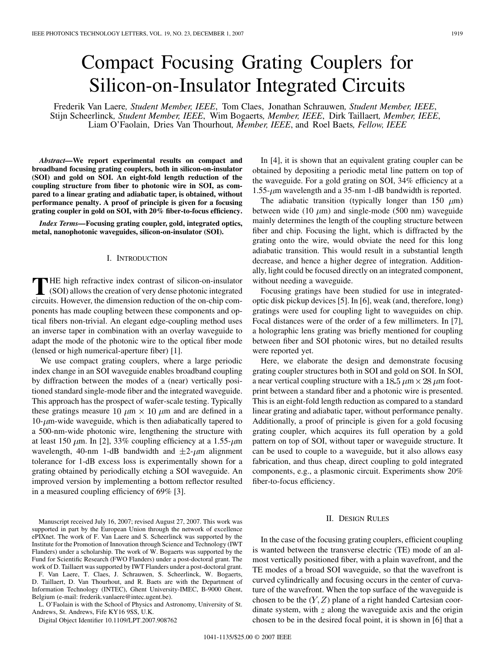# Compact Focusing Grating Couplers for Silicon-on-Insulator Integrated Circuits

Frederik Van Laere*, Student Member, IEEE*, Tom Claes, Jonathan Schrauwen*, Student Member, IEEE*, Stijn Scheerlinck*, Student Member, IEEE*, Wim Bogaerts*, Member, IEEE*, Dirk Taillaert*, Member, IEEE*, Liam O'Faolain, Dries Van Thourhout*, Member, IEEE*, and Roel Baets*, Fellow, IEEE*

*Abstract—***We report experimental results on compact and broadband focusing grating couplers, both in silicon-on-insulator (SOI) and gold on SOI. An eight-fold length reduction of the coupling structure from fiber to photonic wire in SOI, as compared to a linear grating and adiabatic taper, is obtained, without performance penalty. A proof of principle is given for a focusing grating coupler in gold on SOI, with 20% fiber-to-focus efficiency.**

*Index Terms—***Focusing grating coupler, gold, integrated optics, metal, nanophotonic waveguides, silicon-on-insulator (SOI).**

## I. INTRODUCTION

**T**HE high refractive index contrast of silicon-on-insulator (SOI) allows the creation of very dense photonic integrated principles. However, the dimension reduction of the on-ohin comcircuits. However, the dimension reduction of the on-chip components has made coupling between these components and optical fibers non-trivial. An elegant edge-coupling method uses an inverse taper in combination with an overlay waveguide to adapt the mode of the photonic wire to the optical fiber mode (lensed or high numerical-aperture fiber) [1].

We use compact grating couplers, where a large periodic index change in an SOI waveguide enables broadband coupling by diffraction between the modes of a (near) vertically positioned standard single-mode fiber and the integrated waveguide. This approach has the prospect of wafer-scale testing. Typically these gratings measure 10  $\mu$ m  $\times$  10  $\mu$ m and are defined in a  $10$ - $\mu$ m-wide waveguide, which is then adiabatically tapered to a 500-nm-wide photonic wire, lengthening the structure with at least 150  $\mu$ m. In [2], 33% coupling efficiency at a 1.55- $\mu$ m wavelength, 40-nm 1-dB bandwidth and  $\pm 2$ - $\mu$ m alignment tolerance for 1-dB excess loss is experimentally shown for a grating obtained by periodically etching a SOI waveguide. An improved version by implementing a bottom reflector resulted in a measured coupling efficiency of 69% [3].

Manuscript received July 16, 2007; revised August 27, 2007. This work was supported in part by the European Union through the network of excellence ePIXnet. The work of F. Van Laere and S. Scheerlinck was supported by the Institute for the Promotion of Innovation through Science and Technology (IWT Flanders) under a scholarship. The work of W. Bogaerts was supported by the Fund for Scientific Research (FWO Flanders) under a post-doctoral grant. The work of D. Taillaert was supported by IWT Flanders under a post-doctoral grant.

F. Van Laere, T. Claes, J. Schrauwen, S. Scheerlinck, W. Bogaerts, D. Taillaert, D. Van Thourhout, and R. Baets are with the Department of Information Technology (INTEC), Ghent University-IMEC, B-9000 Ghent, Belgium (e-mail: frederik.vanlaere@intec.ugent.be).

L. O'Faolain is with the School of Physics and Astronomy, University of St. Andrews, St. Andrews, Fife KY16 9SS, U.K.

Digital Object Identifier 10.1109/LPT.2007.908762

In [4], it is shown that an equivalent grating coupler can be obtained by depositing a periodic metal line pattern on top of the waveguide. For a gold grating on SOI, 34% efficiency at a 1.55- $\mu$ m wavelength and a 35-nm 1-dB bandwidth is reported.

The adiabatic transition (typically longer than 150  $\mu$ m) between wide (10  $\mu$ m) and single-mode (500 nm) waveguide mainly determines the length of the coupling structure between fiber and chip. Focusing the light, which is diffracted by the grating onto the wire, would obviate the need for this long adiabatic transition. This would result in a substantial length decrease, and hence a higher degree of integration. Additionally, light could be focused directly on an integrated component, without needing a waveguide.

Focusing gratings have been studied for use in integratedoptic disk pickup devices [5]. In [6], weak (and, therefore, long) gratings were used for coupling light to waveguides on chip. Focal distances were of the order of a few millimeters. In [7], a holographic lens grating was briefly mentioned for coupling between fiber and SOI photonic wires, but no detailed results were reported yet.

Here, we elaborate the design and demonstrate focusing grating coupler structures both in SOI and gold on SOI. In SOI, a near vertical coupling structure with a 18.5  $\mu$ m × 28  $\mu$ m footprint between a standard fiber and a photonic wire is presented. This is an eight-fold length reduction as compared to a standard linear grating and adiabatic taper, without performance penalty. Additionally, a proof of principle is given for a gold focusing grating coupler, which acquires its full operation by a gold pattern on top of SOI, without taper or waveguide structure. It can be used to couple to a waveguide, but it also allows easy fabrication, and thus cheap, direct coupling to gold integrated components, e.g., a plasmonic circuit. Experiments show 20% fiber-to-focus efficiency.

# II. DESIGN RULES

In the case of the focusing grating couplers, efficient coupling is wanted between the transverse electric (TE) mode of an almost vertically positioned fiber, with a plain wavefront, and the TE modes of a broad SOI waveguide, so that the wavefront is curved cylindrically and focusing occurs in the center of curvature of the wavefront. When the top surface of the waveguide is chosen to be the  $(Y, Z)$  plane of a right handed Cartesian coordinate system, with  $z$  along the waveguide axis and the origin chosen to be in the desired focal point, it is shown in [6] that a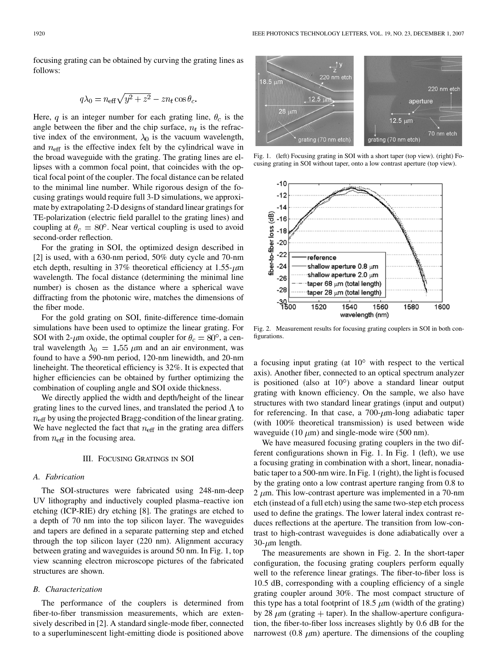focusing grating can be obtained by curving the grating lines as follows:

$$
q\lambda_0 = n_{\text{eff}}\sqrt{y^2 + z^2} - zn_t \cos \theta_c.
$$

Here, q is an integer number for each grating line,  $\theta_c$  is the angle between the fiber and the chip surface,  $n_t$  is the refractive index of the environment,  $\lambda_0$  is the vacuum wavelength, and  $n_{\text{eff}}$  is the effective index felt by the cylindrical wave in the broad waveguide with the grating. The grating lines are ellipses with a common focal point, that coincides with the optical focal point of the coupler. The focal distance can be related to the minimal line number. While rigorous design of the focusing gratings would require full 3-D simulations, we approximate by extrapolating 2-D designs of standard linear gratings for TE-polarization (electric field parallel to the grating lines) and coupling at  $\theta_c = 80^\circ$ . Near vertical coupling is used to avoid second-order reflection.

For the grating in SOI, the optimized design described in [2] is used, with a 630-nm period, 50% duty cycle and 70-nm etch depth, resulting in 37% theoretical efficiency at  $1.55$ - $\mu$ m wavelength. The focal distance (determining the minimal line number) is chosen as the distance where a spherical wave diffracting from the photonic wire, matches the dimensions of the fiber mode.

For the gold grating on SOI, finite-difference time-domain simulations have been used to optimize the linear grating. For SOI with 2- $\mu$ m oxide, the optimal coupler for  $\theta_c = 80^\circ$ , a central wavelength  $\lambda_0 = 1.55 \ \mu \text{m}$  and an air environment, was found to have a 590-nm period, 120-nm linewidth, and 20-nm lineheight. The theoretical efficiency is 32%. It is expected that higher efficiencies can be obtained by further optimizing the combination of coupling angle and SOI oxide thickness.

We directly applied the width and depth/height of the linear grating lines to the curved lines, and translated the period  $\Lambda$  to  $n_{\text{eff}}$  by using the projected Bragg-condition of the linear grating. We have neglected the fact that  $n_{\text{eff}}$  in the grating area differs from  $n_{\text{eff}}$  in the focusing area.

## III. FOCUSING GRATINGS IN SOI

# *A. Fabrication*

The SOI-structures were fabricated using 248-nm-deep UV lithography and inductively coupled plasma–reactive ion etching (ICP-RIE) dry etching [8]. The gratings are etched to a depth of 70 nm into the top silicon layer. The waveguides and tapers are defined in a separate patterning step and etched through the top silicon layer (220 nm). Alignment accuracy between grating and waveguides is around 50 nm. In Fig. 1, top view scanning electron microscope pictures of the fabricated structures are shown.

## *B. Characterization*

The performance of the couplers is determined from fiber-to-fiber transmission measurements, which are extensively described in [2]. A standard single-mode fiber, connected to a superluminescent light-emitting diode is positioned above



Fig. 1. (left) Focusing grating in SOI with a short taper (top view). (right) Focusing grating in SOI without taper, onto a low contrast aperture (top view).



Fig. 2. Measurement results for focusing grating couplers in SOI in both configurations.

a focusing input grating (at  $10^{\circ}$  with respect to the vertical axis). Another fiber, connected to an optical spectrum analyzer is positioned (also at  $10^{\circ}$ ) above a standard linear output grating with known efficiency. On the sample, we also have structures with two standard linear gratings (input and output) for referencing. In that case, a  $700-\mu m$ -long adiabatic taper (with 100% theoretical transmission) is used between wide waveguide (10  $\mu$ m) and single-mode wire (500 nm).

We have measured focusing grating couplers in the two different configurations shown in Fig. 1. In Fig. 1 (left), we use a focusing grating in combination with a short, linear, nonadiabatic taper to a 500-nm wire. In Fig. 1 (right), the light is focused by the grating onto a low contrast aperture ranging from 0.8 to  $2 \mu$ m. This low-contrast aperture was implemented in a 70-nm etch (instead of a full etch) using the same two-step etch process used to define the gratings. The lower lateral index contrast reduces reflections at the aperture. The transition from low-contrast to high-contrast waveguides is done adiabatically over a 30- $\mu$ m length.

The measurements are shown in Fig. 2. In the short-taper configuration, the focusing grating couplers perform equally well to the reference linear gratings. The fiber-to-fiber loss is 10.5 dB, corresponding with a coupling efficiency of a single grating coupler around 30%. The most compact structure of this type has a total footprint of 18.5  $\mu$ m (width of the grating) by 28  $\mu$ m (grating + taper). In the shallow-aperture configuration, the fiber-to-fiber loss increases slightly by 0.6 dB for the narrowest (0.8  $\mu$ m) aperture. The dimensions of the coupling